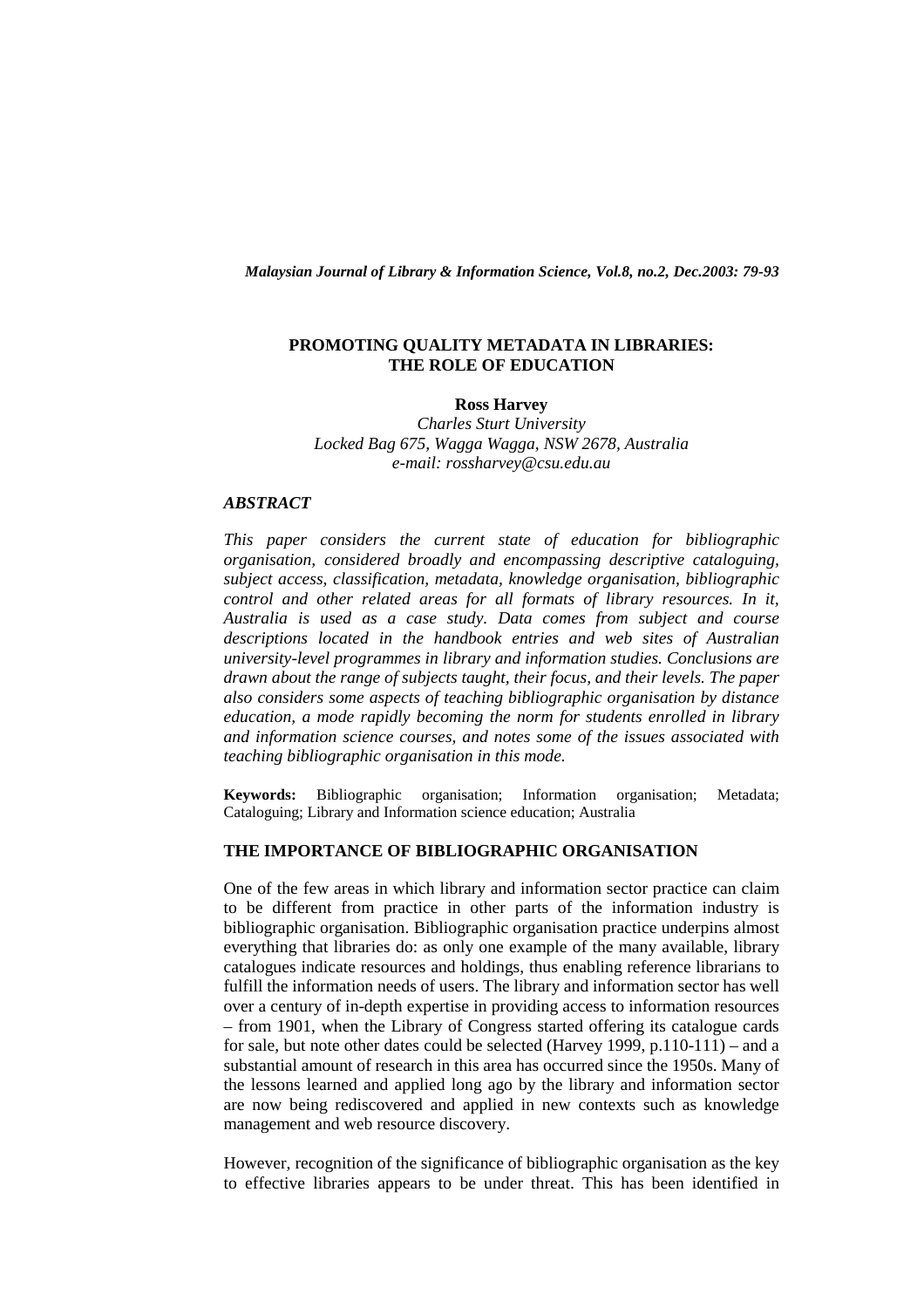*Malaysian Journal of Library & Information Science, Vol.8, no.2, Dec.2003: 79-93* 

## **PROMOTING QUALITY METADATA IN LIBRARIES: THE ROLE OF EDUCATION**

**Ross Harvey** 

*Charles Sturt University Locked Bag 675, Wagga Wagga, NSW 2678, Australia e-mail: rossharvey@csu.edu.au* 

# *ABSTRACT*

*This paper considers the current state of education for bibliographic organisation, considered broadly and encompassing descriptive cataloguing, subject access, classification, metadata, knowledge organisation, bibliographic control and other related areas for all formats of library resources. In it, Australia is used as a case study. Data comes from subject and course descriptions located in the handbook entries and web sites of Australian university-level programmes in library and information studies. Conclusions are drawn about the range of subjects taught, their focus, and their levels. The paper also considers some aspects of teaching bibliographic organisation by distance education, a mode rapidly becoming the norm for students enrolled in library and information science courses, and notes some of the issues associated with teaching bibliographic organisation in this mode.* 

**Keywords:** Bibliographic organisation; Information organisation; Metadata; Cataloguing; Library and Information science education; Australia

### **THE IMPORTANCE OF BIBLIOGRAPHIC ORGANISATION**

One of the few areas in which library and information sector practice can claim to be different from practice in other parts of the information industry is bibliographic organisation. Bibliographic organisation practice underpins almost everything that libraries do: as only one example of the many available, library catalogues indicate resources and holdings, thus enabling reference librarians to fulfill the information needs of users. The library and information sector has well over a century of in-depth expertise in providing access to information resources – from 1901, when the Library of Congress started offering its catalogue cards for sale, but note other dates could be selected (Harvey 1999, p.110-111) – and a substantial amount of research in this area has occurred since the 1950s. Many of the lessons learned and applied long ago by the library and information sector are now being rediscovered and applied in new contexts such as knowledge management and web resource discovery.

However, recognition of the significance of bibliographic organisation as the key to effective libraries appears to be under threat. This has been identified in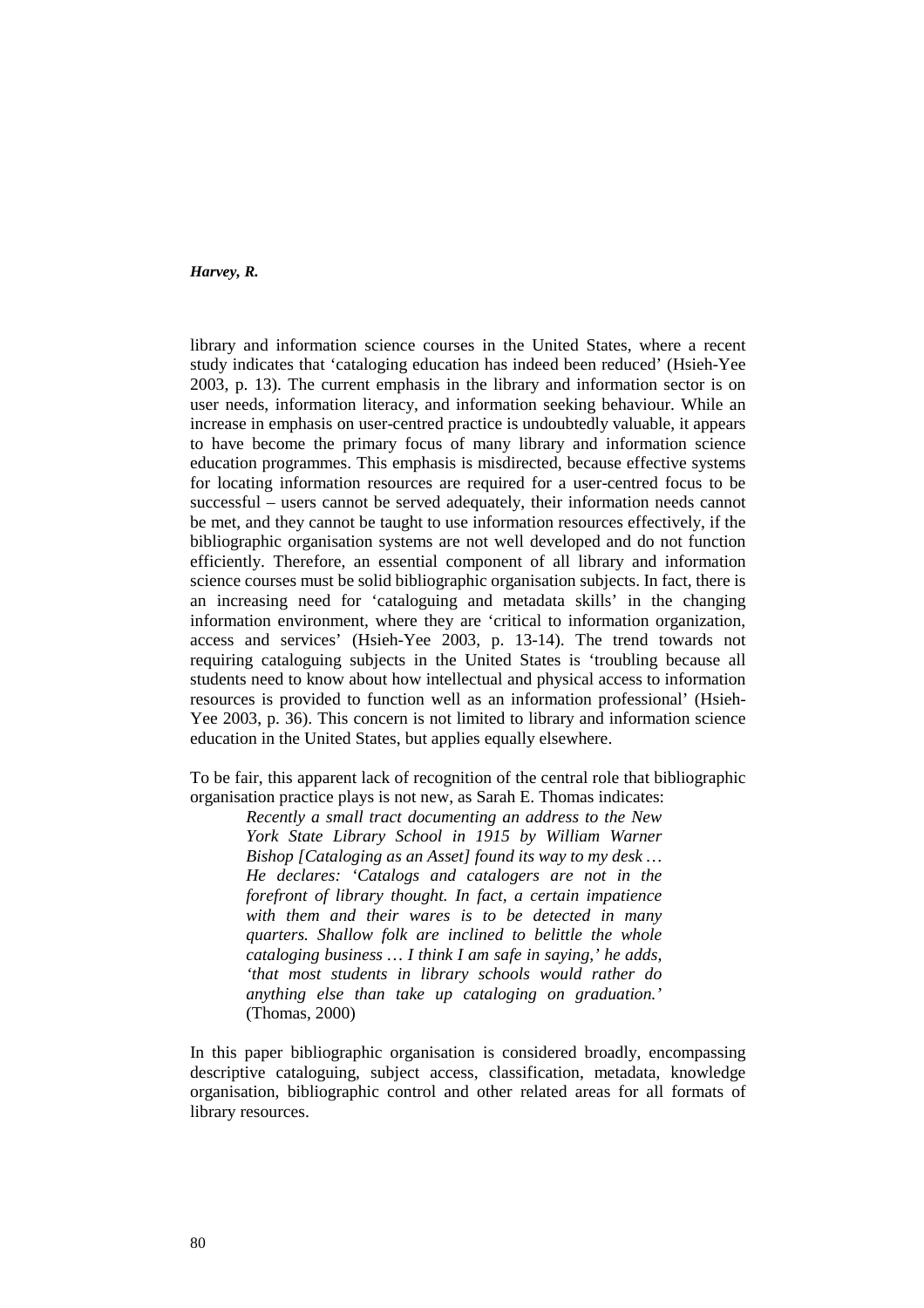library and information science courses in the United States, where a recent study indicates that 'cataloging education has indeed been reduced' (Hsieh-Yee 2003, p. 13). The current emphasis in the library and information sector is on user needs, information literacy, and information seeking behaviour. While an increase in emphasis on user-centred practice is undoubtedly valuable, it appears to have become the primary focus of many library and information science education programmes. This emphasis is misdirected, because effective systems for locating information resources are required for a user-centred focus to be successful – users cannot be served adequately, their information needs cannot be met, and they cannot be taught to use information resources effectively, if the bibliographic organisation systems are not well developed and do not function efficiently. Therefore, an essential component of all library and information science courses must be solid bibliographic organisation subjects. In fact, there is an increasing need for 'cataloguing and metadata skills' in the changing information environment, where they are 'critical to information organization, access and services' (Hsieh-Yee 2003, p. 13-14). The trend towards not requiring cataloguing subjects in the United States is 'troubling because all students need to know about how intellectual and physical access to information resources is provided to function well as an information professional' (Hsieh-Yee 2003, p. 36). This concern is not limited to library and information science education in the United States, but applies equally elsewhere.

To be fair, this apparent lack of recognition of the central role that bibliographic organisation practice plays is not new, as Sarah E. Thomas indicates:

*Recently a small tract documenting an address to the New York State Library School in 1915 by William Warner Bishop [Cataloging as an Asset] found its way to my desk … He declares: 'Catalogs and catalogers are not in the forefront of library thought. In fact, a certain impatience with them and their wares is to be detected in many quarters. Shallow folk are inclined to belittle the whole cataloging business … I think I am safe in saying,' he adds, 'that most students in library schools would rather do anything else than take up cataloging on graduation.'* (Thomas, 2000)

In this paper bibliographic organisation is considered broadly, encompassing descriptive cataloguing, subject access, classification, metadata, knowledge organisation, bibliographic control and other related areas for all formats of library resources.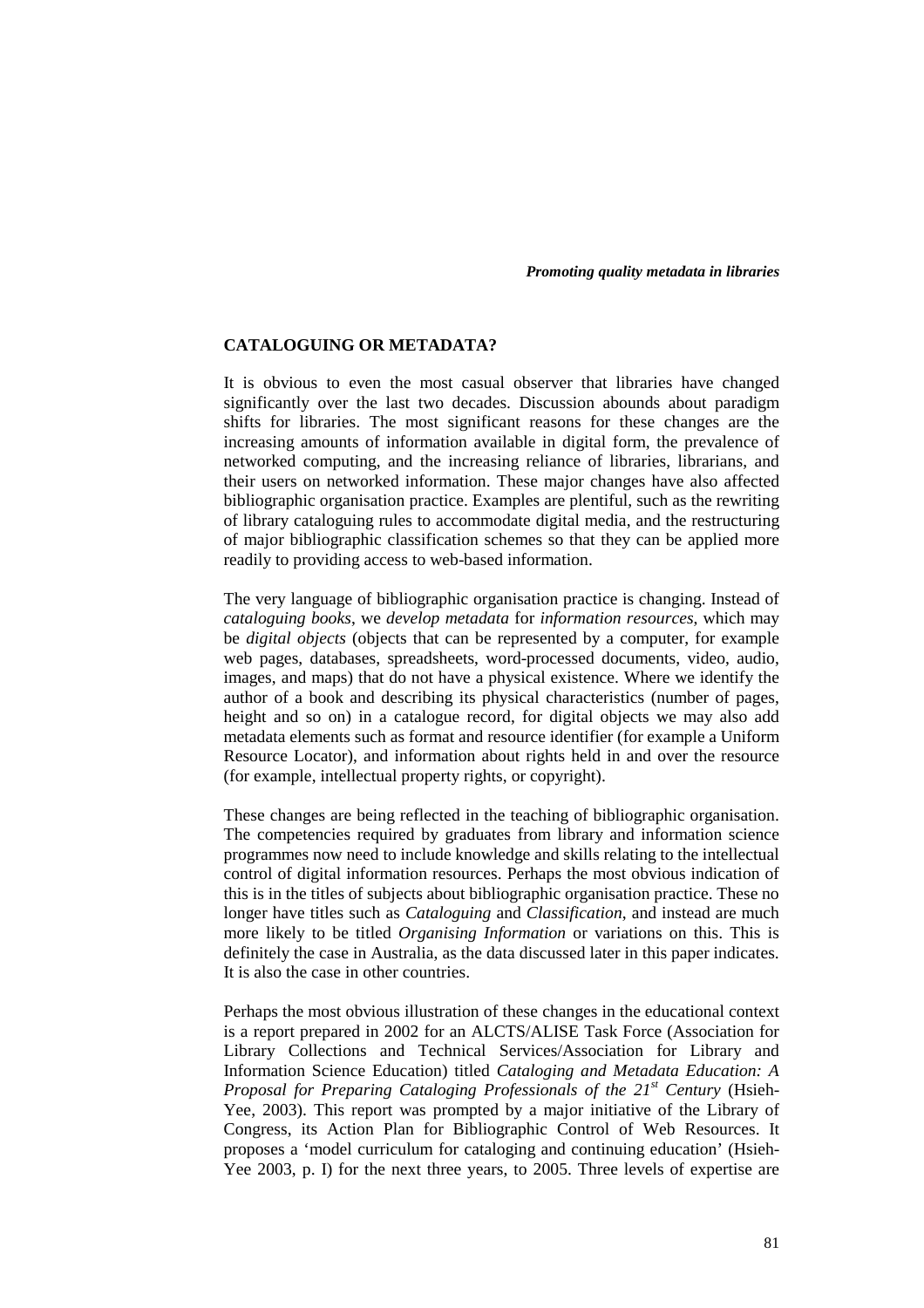### **CATALOGUING OR METADATA?**

It is obvious to even the most casual observer that libraries have changed significantly over the last two decades. Discussion abounds about paradigm shifts for libraries. The most significant reasons for these changes are the increasing amounts of information available in digital form, the prevalence of networked computing, and the increasing reliance of libraries, librarians, and their users on networked information. These major changes have also affected bibliographic organisation practice. Examples are plentiful, such as the rewriting of library cataloguing rules to accommodate digital media, and the restructuring of major bibliographic classification schemes so that they can be applied more readily to providing access to web-based information.

The very language of bibliographic organisation practice is changing. Instead of *cataloguing books*, we *develop metadata* for *information resources*, which may be *digital objects* (objects that can be represented by a computer, for example web pages, databases, spreadsheets, word-processed documents, video, audio, images, and maps) that do not have a physical existence. Where we identify the author of a book and describing its physical characteristics (number of pages, height and so on) in a catalogue record, for digital objects we may also add metadata elements such as format and resource identifier (for example a Uniform Resource Locator), and information about rights held in and over the resource (for example, intellectual property rights, or copyright).

These changes are being reflected in the teaching of bibliographic organisation. The competencies required by graduates from library and information science programmes now need to include knowledge and skills relating to the intellectual control of digital information resources. Perhaps the most obvious indication of this is in the titles of subjects about bibliographic organisation practice. These no longer have titles such as *Cataloguing* and *Classification*, and instead are much more likely to be titled *Organising Information* or variations on this. This is definitely the case in Australia, as the data discussed later in this paper indicates. It is also the case in other countries.

Perhaps the most obvious illustration of these changes in the educational context is a report prepared in 2002 for an ALCTS/ALISE Task Force (Association for Library Collections and Technical Services/Association for Library and Information Science Education) titled *Cataloging and Metadata Education: A Proposal for Preparing Cataloging Professionals of the 21st Century* (Hsieh-Yee, 2003). This report was prompted by a major initiative of the Library of Congress, its Action Plan for Bibliographic Control of Web Resources. It proposes a 'model curriculum for cataloging and continuing education' (Hsieh-Yee 2003, p. I) for the next three years, to 2005. Three levels of expertise are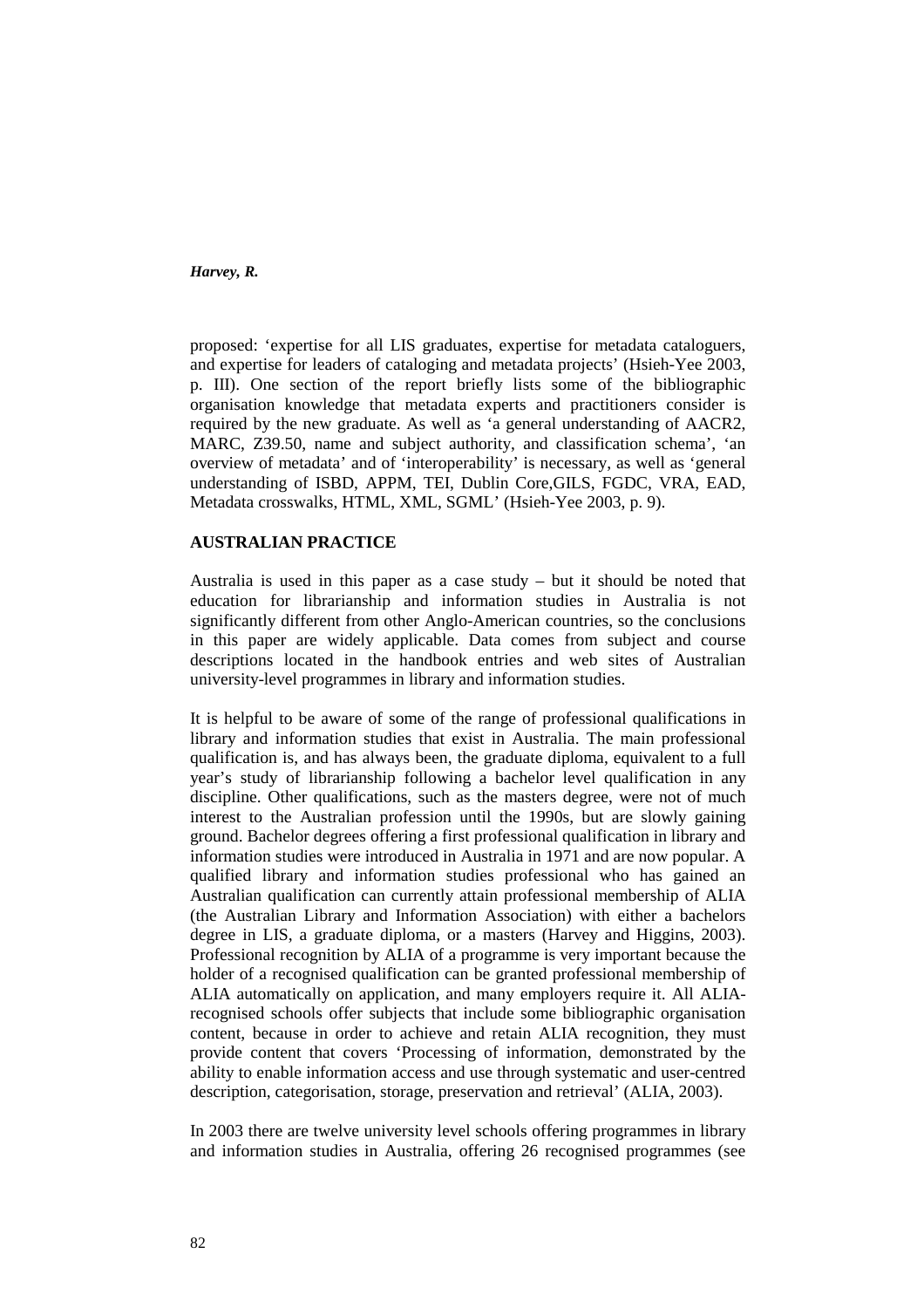proposed: 'expertise for all LIS graduates, expertise for metadata cataloguers, and expertise for leaders of cataloging and metadata projects' (Hsieh-Yee 2003, p. III). One section of the report briefly lists some of the bibliographic organisation knowledge that metadata experts and practitioners consider is required by the new graduate. As well as 'a general understanding of AACR2, MARC, Z39.50, name and subject authority, and classification schema', 'an overview of metadata' and of 'interoperability' is necessary, as well as 'general understanding of ISBD, APPM, TEI, Dublin Core,GILS, FGDC, VRA, EAD, Metadata crosswalks, HTML, XML, SGML' (Hsieh-Yee 2003, p. 9).

# **AUSTRALIAN PRACTICE**

Australia is used in this paper as a case study – but it should be noted that education for librarianship and information studies in Australia is not significantly different from other Anglo-American countries, so the conclusions in this paper are widely applicable. Data comes from subject and course descriptions located in the handbook entries and web sites of Australian university-level programmes in library and information studies.

It is helpful to be aware of some of the range of professional qualifications in library and information studies that exist in Australia. The main professional qualification is, and has always been, the graduate diploma, equivalent to a full year's study of librarianship following a bachelor level qualification in any discipline. Other qualifications, such as the masters degree, were not of much interest to the Australian profession until the 1990s, but are slowly gaining ground. Bachelor degrees offering a first professional qualification in library and information studies were introduced in Australia in 1971 and are now popular. A qualified library and information studies professional who has gained an Australian qualification can currently attain professional membership of ALIA (the Australian Library and Information Association) with either a bachelors degree in LIS, a graduate diploma, or a masters (Harvey and Higgins, 2003). Professional recognition by ALIA of a programme is very important because the holder of a recognised qualification can be granted professional membership of ALIA automatically on application, and many employers require it. All ALIArecognised schools offer subjects that include some bibliographic organisation content, because in order to achieve and retain ALIA recognition, they must provide content that covers 'Processing of information, demonstrated by the ability to enable information access and use through systematic and user-centred description, categorisation, storage, preservation and retrieval' (ALIA, 2003).

In 2003 there are twelve university level schools offering programmes in library and information studies in Australia, offering 26 recognised programmes (see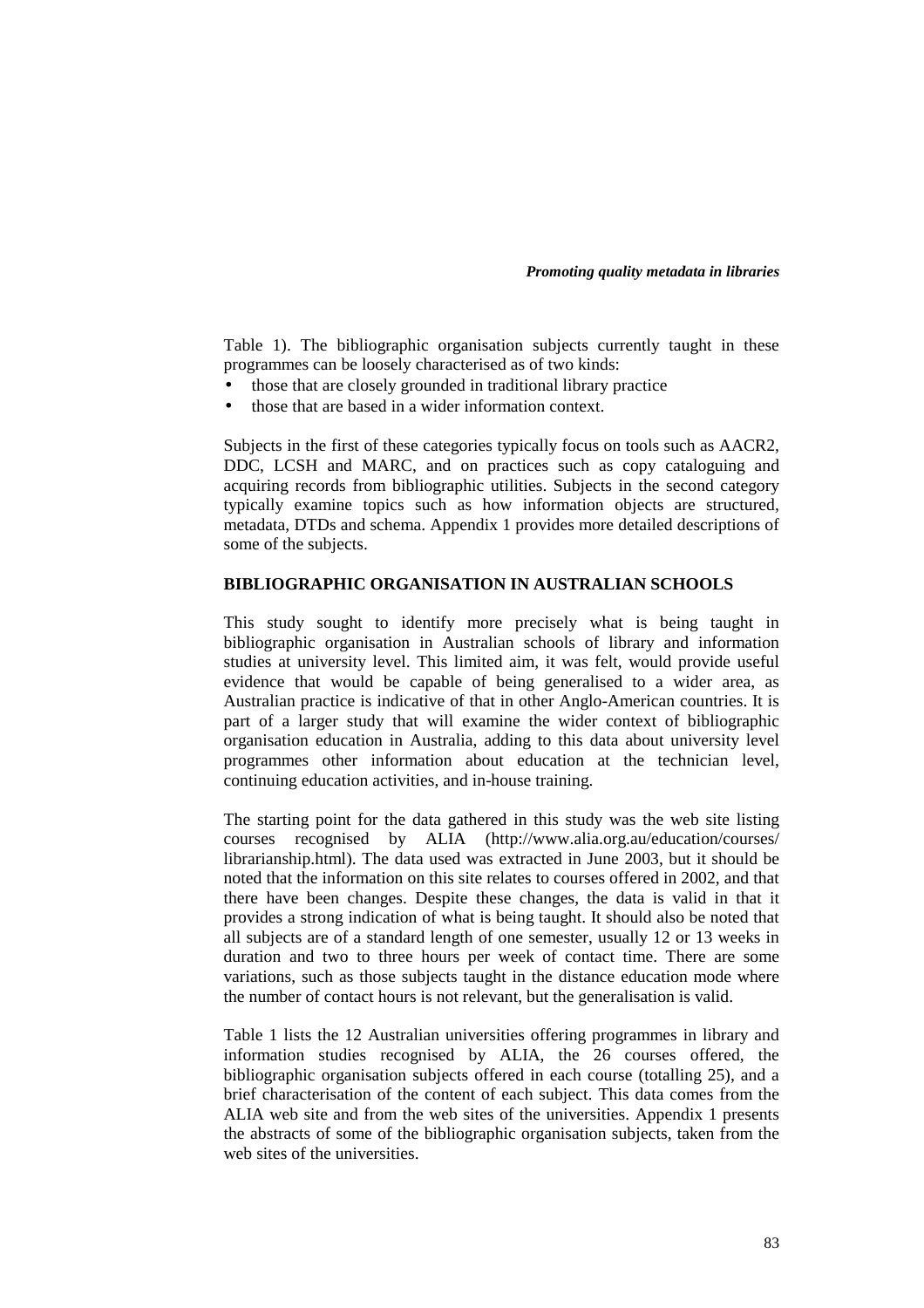Table 1). The bibliographic organisation subjects currently taught in these programmes can be loosely characterised as of two kinds:

- those that are closely grounded in traditional library practice
- those that are based in a wider information context.

Subjects in the first of these categories typically focus on tools such as AACR2, DDC, LCSH and MARC, and on practices such as copy cataloguing and acquiring records from bibliographic utilities. Subjects in the second category typically examine topics such as how information objects are structured, metadata, DTDs and schema. Appendix 1 provides more detailed descriptions of some of the subjects.

### **BIBLIOGRAPHIC ORGANISATION IN AUSTRALIAN SCHOOLS**

This study sought to identify more precisely what is being taught in bibliographic organisation in Australian schools of library and information studies at university level. This limited aim, it was felt, would provide useful evidence that would be capable of being generalised to a wider area, as Australian practice is indicative of that in other Anglo-American countries. It is part of a larger study that will examine the wider context of bibliographic organisation education in Australia, adding to this data about university level programmes other information about education at the technician level, continuing education activities, and in-house training.

The starting point for the data gathered in this study was the web site listing courses recognised by ALIA (http://www.alia.org.au/education/courses/ librarianship.html). The data used was extracted in June 2003, but it should be noted that the information on this site relates to courses offered in 2002, and that there have been changes. Despite these changes, the data is valid in that it provides a strong indication of what is being taught. It should also be noted that all subjects are of a standard length of one semester, usually 12 or 13 weeks in duration and two to three hours per week of contact time. There are some variations, such as those subjects taught in the distance education mode where the number of contact hours is not relevant, but the generalisation is valid.

Table 1 lists the 12 Australian universities offering programmes in library and information studies recognised by ALIA, the 26 courses offered, the bibliographic organisation subjects offered in each course (totalling 25), and a brief characterisation of the content of each subject. This data comes from the ALIA web site and from the web sites of the universities. Appendix 1 presents the abstracts of some of the bibliographic organisation subjects, taken from the web sites of the universities.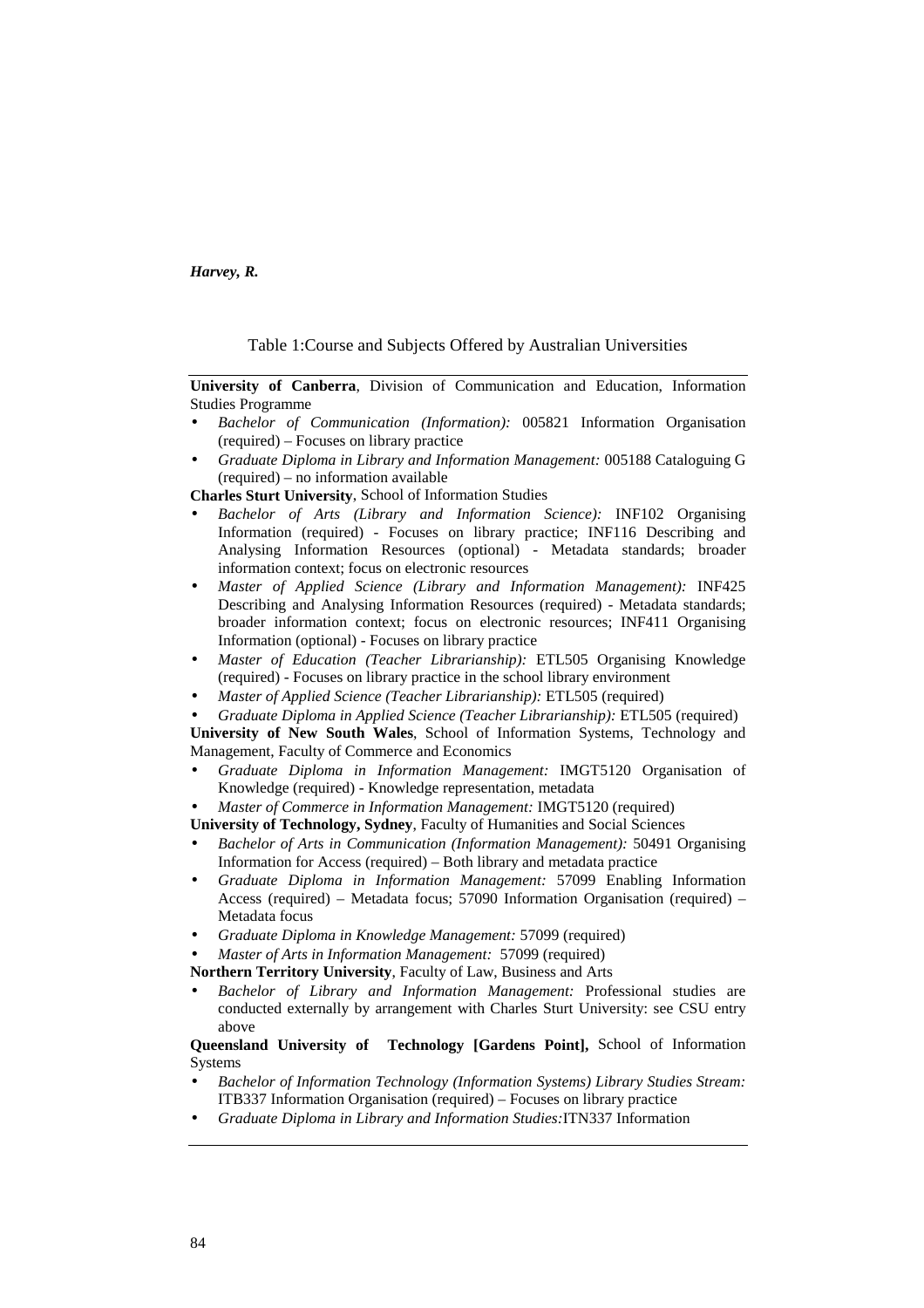### Table 1:Course and Subjects Offered by Australian Universities

**University of Canberra**, Division of Communication and Education, Information Studies Programme

- *Bachelor of Communication (Information):* 005821 Information Organisation (required) – Focuses on library practice
- *Graduate Diploma in Library and Information Management:* 005188 Cataloguing G (required) – no information available

**Charles Sturt University**, School of Information Studies

- *Bachelor of Arts (Library and Information Science):* INF102 Organising Information (required) - Focuses on library practice; INF116 Describing and Analysing Information Resources (optional) - Metadata standards; broader information context; focus on electronic resources
- *Master of Applied Science (Library and Information Management):* INF425 Describing and Analysing Information Resources (required) - Metadata standards; broader information context; focus on electronic resources; INF411 Organising Information (optional) - Focuses on library practice
- *Master of Education (Teacher Librarianship):* ETL505 Organising Knowledge (required) - Focuses on library practice in the school library environment
- *Master of Applied Science (Teacher Librarianship): ETL505 (required)*
- *Graduate Diploma in Applied Science (Teacher Librarianship):* ETL505 (required)

**University of New South Wales**, School of Information Systems, Technology and Management, Faculty of Commerce and Economics

- *Graduate Diploma in Information Management:* IMGT5120 Organisation of Knowledge (required) - Knowledge representation, metadata
- *Master of Commerce in Information Management:* IMGT5120 (required)

**University of Technology, Sydney**, Faculty of Humanities and Social Sciences

- *Bachelor of Arts in Communication (Information Management):* 50491 Organising Information for Access (required) – Both library and metadata practice
- *Graduate Diploma in Information Management:* 57099 Enabling Information Access (required) – Metadata focus; 57090 Information Organisation (required) – Metadata focus
- *Graduate Diploma in Knowledge Management:* 57099 (required)
- *Master of Arts in Information Management:* 57099 (required)

**Northern Territory University**, Faculty of Law, Business and Arts

• *Bachelor of Library and Information Management:* Professional studies are conducted externally by arrangement with Charles Sturt University: see CSU entry above

**Queensland University of Technology [Gardens Point],** School of Information Systems

- *Bachelor of Information Technology (Information Systems) Library Studies Stream:*  ITB337 Information Organisation (required) – Focuses on library practice
- *Graduate Diploma in Library and Information Studies:*ITN337 Information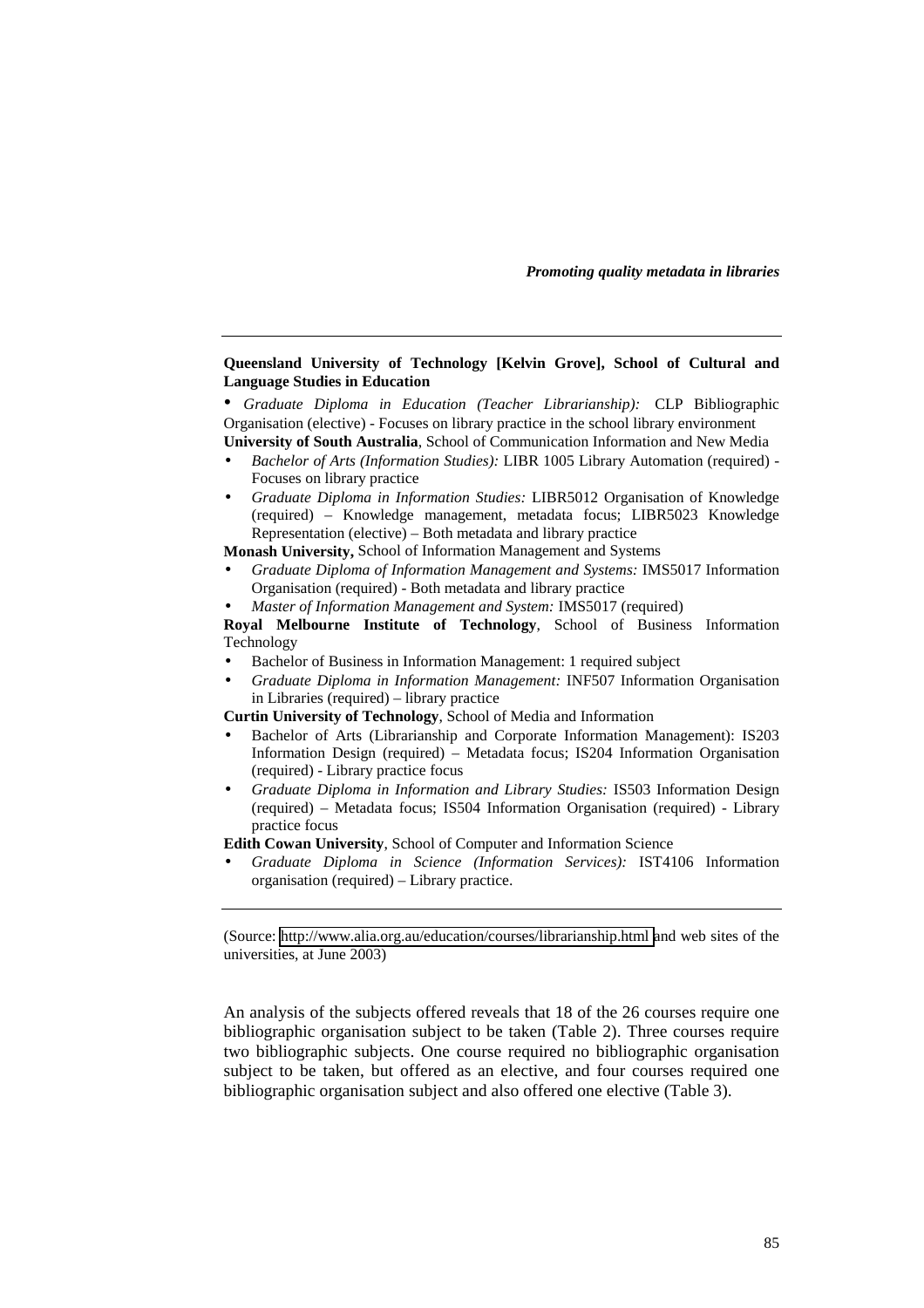### **Queensland University of Technology [Kelvin Grove], School of Cultural and Language Studies in Education**

• *Graduate Diploma in Education (Teacher Librarianship):* CLP Bibliographic Organisation (elective) - Focuses on library practice in the school library environment **University of South Australia**, School of Communication Information and New Media

- *Bachelor of Arts (Information Studies):* LIBR 1005 Library Automation (required) Focuses on library practice
- *Graduate Diploma in Information Studies:* LIBR5012 Organisation of Knowledge (required) – Knowledge management, metadata focus; LIBR5023 Knowledge Representation (elective) – Both metadata and library practice

**Monash University,** School of Information Management and Systems

- *Graduate Diploma of Information Management and Systems:* IMS5017 Information Organisation (required) - Both metadata and library practice
- *Master of Information Management and System:* IMS5017 (required)

**Royal Melbourne Institute of Technology**, School of Business Information Technology

- Bachelor of Business in Information Management: 1 required subject
- *Graduate Diploma in Information Management:* INF507 Information Organisation in Libraries (required) – library practice

**Curtin University of Technology**, School of Media and Information

- Bachelor of Arts (Librarianship and Corporate Information Management): IS203 Information Design (required) – Metadata focus; IS204 Information Organisation (required) - Library practice focus
- *Graduate Diploma in Information and Library Studies:* IS503 Information Design (required) – Metadata focus; IS504 Information Organisation (required) - Library practice focus
- **Edith Cowan University**, School of Computer and Information Science
- *Graduate Diploma in Science (Information Services):* IST4106 Information organisation (required) – Library practice.

(Source: [http://www.alia.org.au/education/courses/librarianship.html a](http://www.alia.org.au/education/courses/librarianship.html)nd web sites of the universities, at June 2003)

An analysis of the subjects offered reveals that 18 of the 26 courses require one bibliographic organisation subject to be taken (Table 2). Three courses require two bibliographic subjects. One course required no bibliographic organisation subject to be taken, but offered as an elective, and four courses required one bibliographic organisation subject and also offered one elective (Table 3).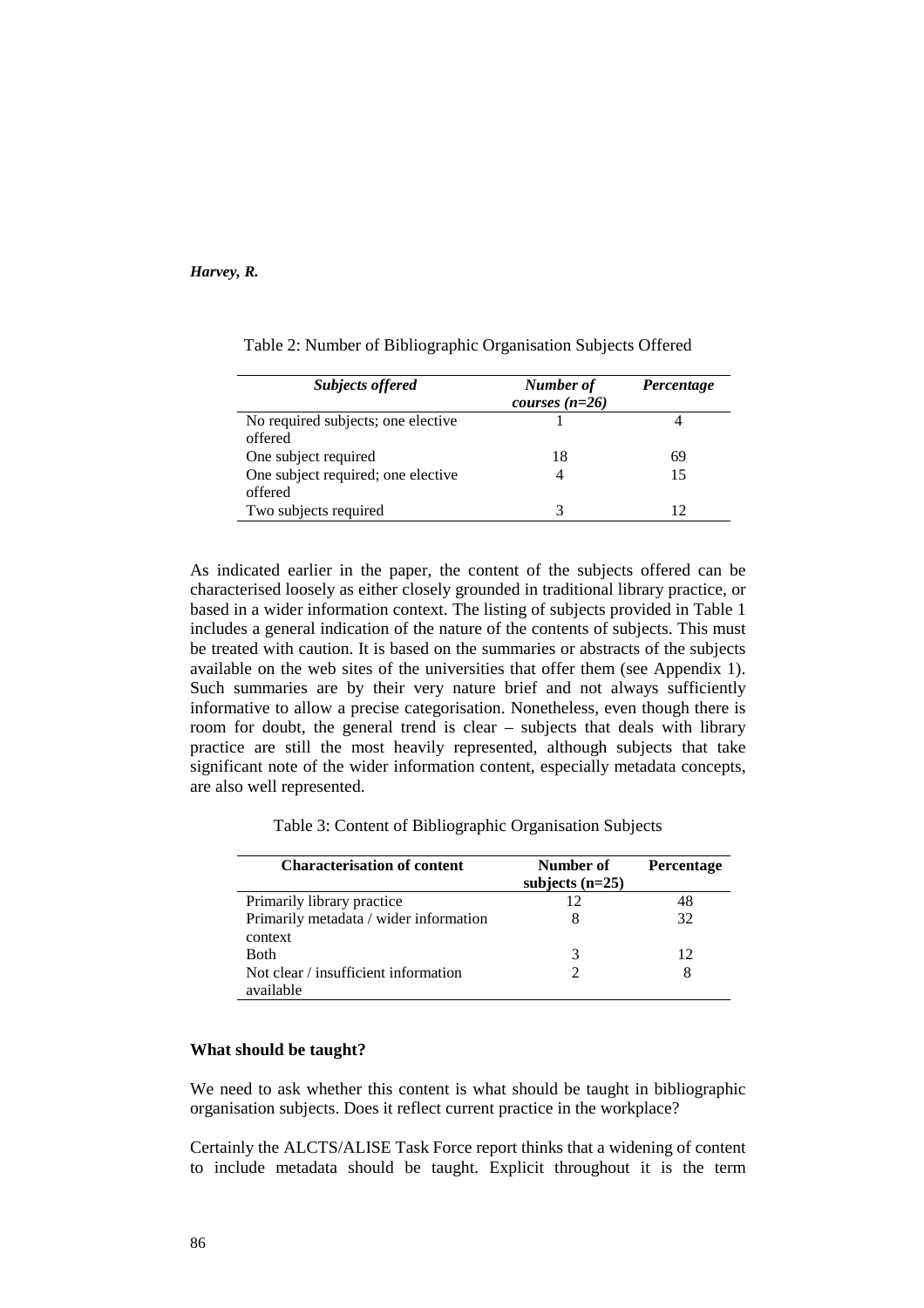| <b>Subjects offered</b>                       | Number of<br>courses $(n=26)$ | Percentage |
|-----------------------------------------------|-------------------------------|------------|
| No required subjects; one elective<br>offered |                               |            |
| One subject required                          | 18                            | 69         |
| One subject required; one elective<br>offered |                               | 15         |
| Two subjects required                         |                               |            |

Table 2: Number of Bibliographic Organisation Subjects Offered

As indicated earlier in the paper, the content of the subjects offered can be characterised loosely as either closely grounded in traditional library practice, or based in a wider information context. The listing of subjects provided in Table 1 includes a general indication of the nature of the contents of subjects. This must be treated with caution. It is based on the summaries or abstracts of the subjects available on the web sites of the universities that offer them (see Appendix 1). Such summaries are by their very nature brief and not always sufficiently informative to allow a precise categorisation. Nonetheless, even though there is room for doubt, the general trend is clear – subjects that deals with library practice are still the most heavily represented, although subjects that take significant note of the wider information content, especially metadata concepts, are also well represented.

Table 3: Content of Bibliographic Organisation Subjects

| <b>Characterisation of content</b>     | Number of         | <b>Percentage</b> |
|----------------------------------------|-------------------|-------------------|
|                                        | subjects $(n=25)$ |                   |
| Primarily library practice             | 12                | 48                |
| Primarily metadata / wider information |                   | 32                |
| context                                |                   |                   |
| <b>Both</b>                            | 3                 | 12                |
| Not clear / insufficient information   |                   | 8                 |
| available                              |                   |                   |

# **What should be taught?**

We need to ask whether this content is what should be taught in bibliographic organisation subjects. Does it reflect current practice in the workplace?

Certainly the ALCTS/ALISE Task Force report thinks that a widening of content to include metadata should be taught. Explicit throughout it is the term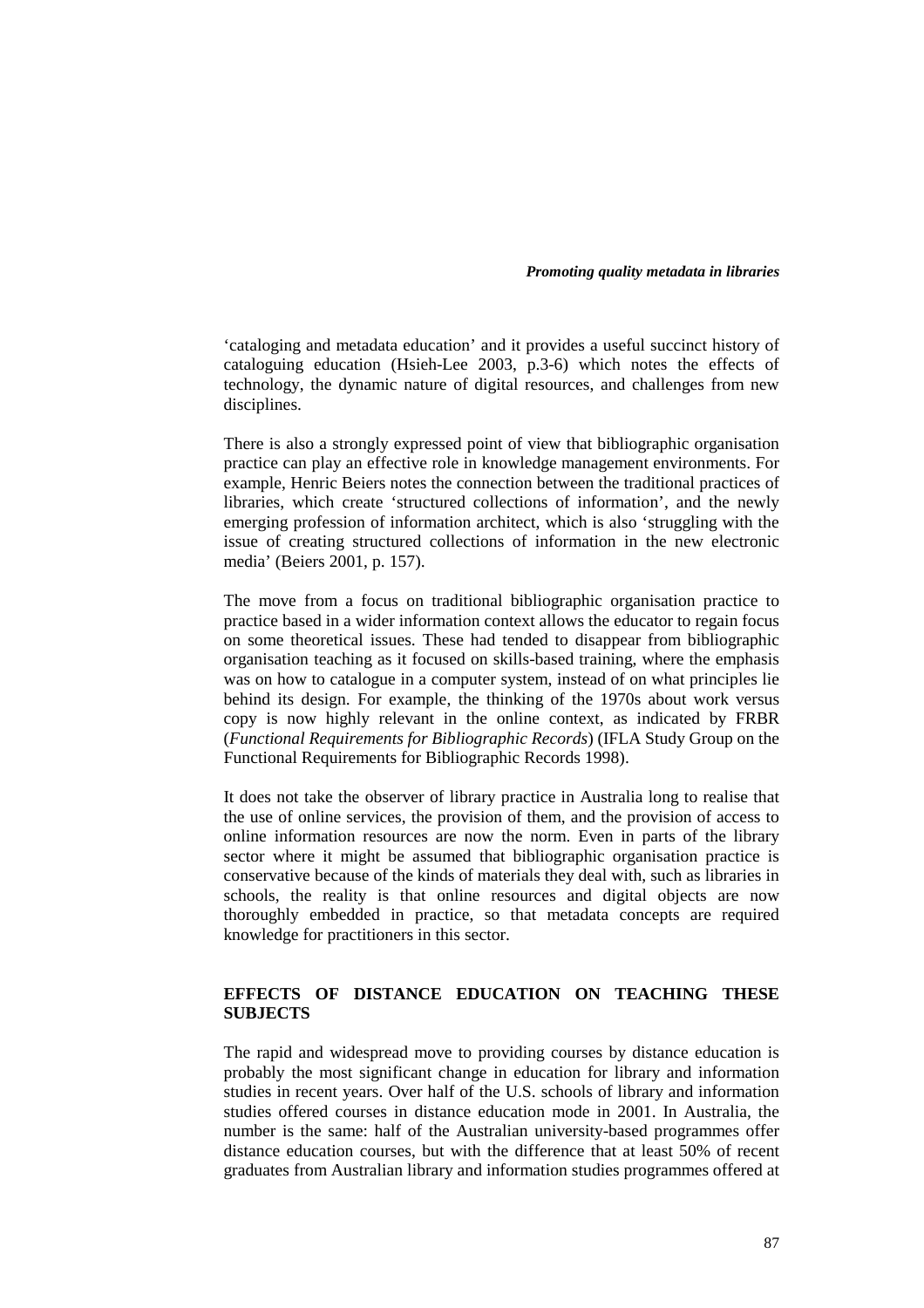'cataloging and metadata education' and it provides a useful succinct history of cataloguing education (Hsieh-Lee 2003, p.3-6) which notes the effects of technology, the dynamic nature of digital resources, and challenges from new disciplines.

There is also a strongly expressed point of view that bibliographic organisation practice can play an effective role in knowledge management environments. For example, Henric Beiers notes the connection between the traditional practices of libraries, which create 'structured collections of information', and the newly emerging profession of information architect, which is also 'struggling with the issue of creating structured collections of information in the new electronic media' (Beiers 2001, p. 157).

The move from a focus on traditional bibliographic organisation practice to practice based in a wider information context allows the educator to regain focus on some theoretical issues. These had tended to disappear from bibliographic organisation teaching as it focused on skills-based training, where the emphasis was on how to catalogue in a computer system, instead of on what principles lie behind its design. For example, the thinking of the 1970s about work versus copy is now highly relevant in the online context, as indicated by FRBR (*Functional Requirements for Bibliographic Records*) (IFLA Study Group on the Functional Requirements for Bibliographic Records 1998).

It does not take the observer of library practice in Australia long to realise that the use of online services, the provision of them, and the provision of access to online information resources are now the norm. Even in parts of the library sector where it might be assumed that bibliographic organisation practice is conservative because of the kinds of materials they deal with, such as libraries in schools, the reality is that online resources and digital objects are now thoroughly embedded in practice, so that metadata concepts are required knowledge for practitioners in this sector.

# **EFFECTS OF DISTANCE EDUCATION ON TEACHING THESE SUBJECTS**

The rapid and widespread move to providing courses by distance education is probably the most significant change in education for library and information studies in recent years. Over half of the U.S. schools of library and information studies offered courses in distance education mode in 2001. In Australia, the number is the same: half of the Australian university-based programmes offer distance education courses, but with the difference that at least 50% of recent graduates from Australian library and information studies programmes offered at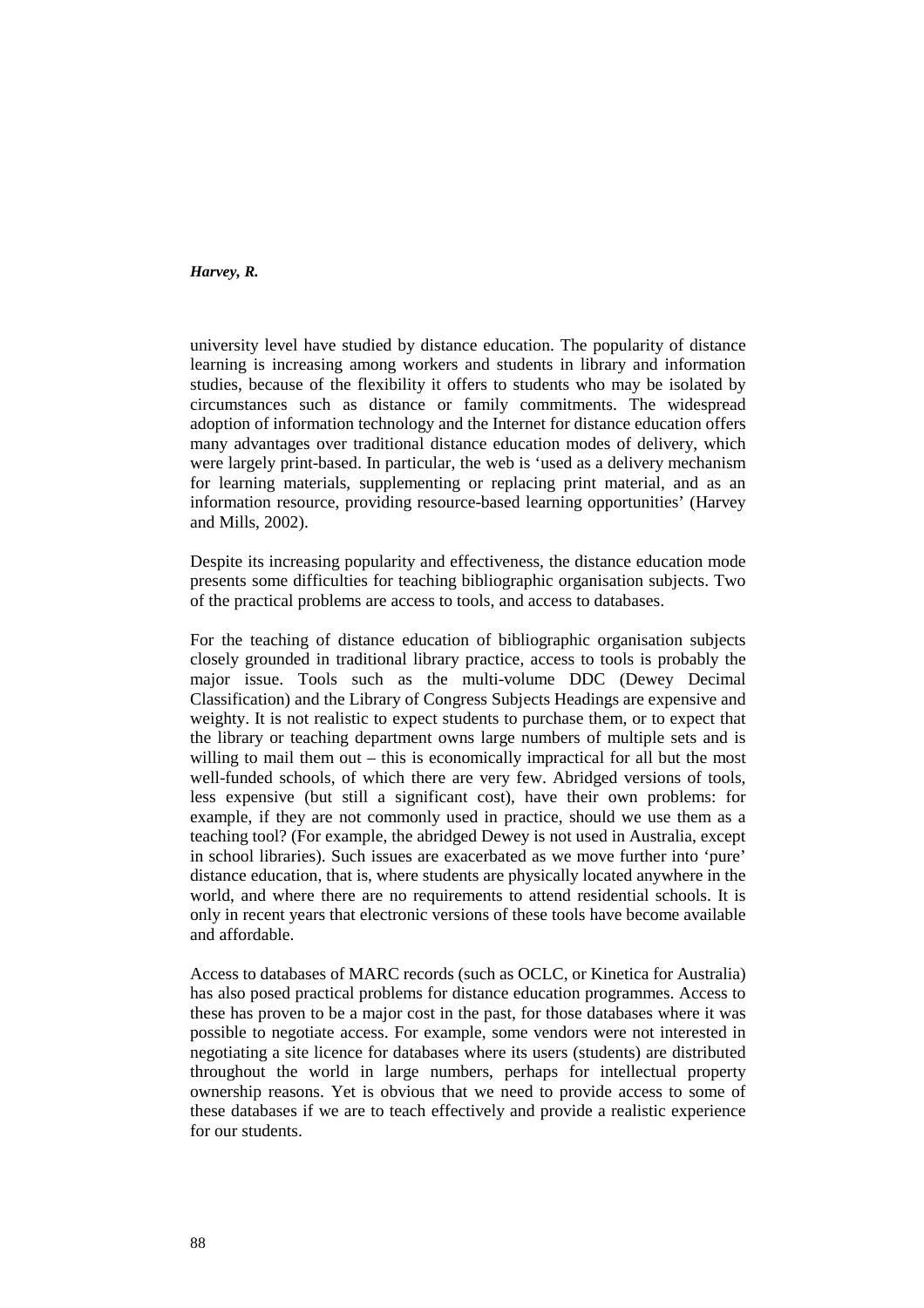university level have studied by distance education. The popularity of distance learning is increasing among workers and students in library and information studies, because of the flexibility it offers to students who may be isolated by circumstances such as distance or family commitments. The widespread adoption of information technology and the Internet for distance education offers many advantages over traditional distance education modes of delivery, which were largely print-based. In particular, the web is 'used as a delivery mechanism for learning materials, supplementing or replacing print material, and as an information resource, providing resource-based learning opportunities' (Harvey and Mills, 2002).

Despite its increasing popularity and effectiveness, the distance education mode presents some difficulties for teaching bibliographic organisation subjects. Two of the practical problems are access to tools, and access to databases.

For the teaching of distance education of bibliographic organisation subjects closely grounded in traditional library practice, access to tools is probably the major issue. Tools such as the multi-volume DDC (Dewey Decimal Classification) and the Library of Congress Subjects Headings are expensive and weighty. It is not realistic to expect students to purchase them, or to expect that the library or teaching department owns large numbers of multiple sets and is willing to mail them out – this is economically impractical for all but the most well-funded schools, of which there are very few. Abridged versions of tools, less expensive (but still a significant cost), have their own problems: for example, if they are not commonly used in practice, should we use them as a teaching tool? (For example, the abridged Dewey is not used in Australia, except in school libraries). Such issues are exacerbated as we move further into 'pure' distance education, that is, where students are physically located anywhere in the world, and where there are no requirements to attend residential schools. It is only in recent years that electronic versions of these tools have become available and affordable.

Access to databases of MARC records (such as OCLC, or Kinetica for Australia) has also posed practical problems for distance education programmes. Access to these has proven to be a major cost in the past, for those databases where it was possible to negotiate access. For example, some vendors were not interested in negotiating a site licence for databases where its users (students) are distributed throughout the world in large numbers, perhaps for intellectual property ownership reasons. Yet is obvious that we need to provide access to some of these databases if we are to teach effectively and provide a realistic experience for our students.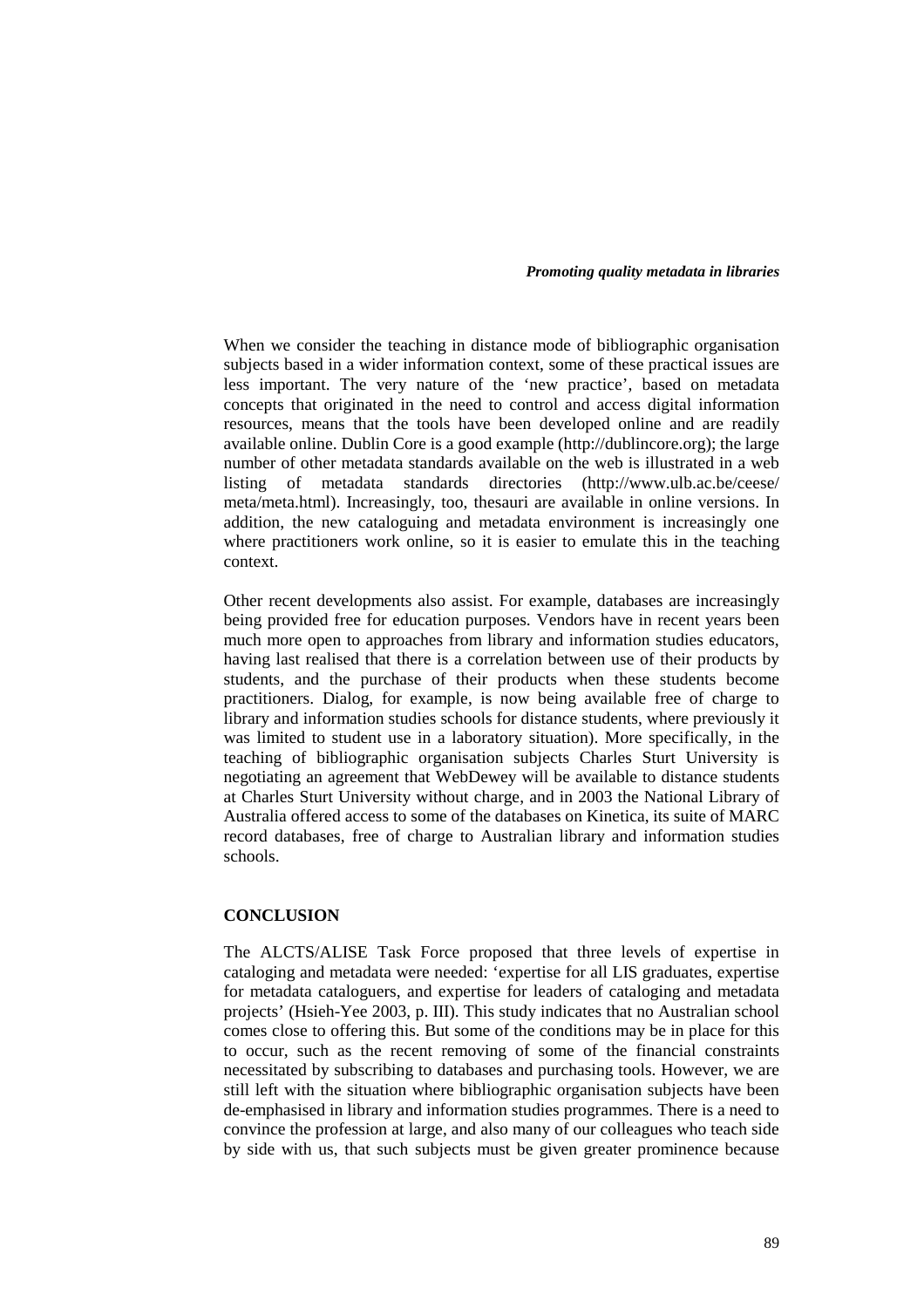When we consider the teaching in distance mode of bibliographic organisation subjects based in a wider information context, some of these practical issues are less important. The very nature of the 'new practice', based on metadata concepts that originated in the need to control and access digital information resources, means that the tools have been developed online and are readily available online. Dublin Core is a good example (http://dublincore.org); the large number of other metadata standards available on the web is illustrated in a web listing of metadata standards directories (http://www.ulb.ac.be/ceese/ meta/meta.html). Increasingly, too, thesauri are available in online versions. In addition, the new cataloguing and metadata environment is increasingly one where practitioners work online, so it is easier to emulate this in the teaching context.

Other recent developments also assist. For example, databases are increasingly being provided free for education purposes. Vendors have in recent years been much more open to approaches from library and information studies educators, having last realised that there is a correlation between use of their products by students, and the purchase of their products when these students become practitioners. Dialog, for example, is now being available free of charge to library and information studies schools for distance students, where previously it was limited to student use in a laboratory situation). More specifically, in the teaching of bibliographic organisation subjects Charles Sturt University is negotiating an agreement that WebDewey will be available to distance students at Charles Sturt University without charge, and in 2003 the National Library of Australia offered access to some of the databases on Kinetica, its suite of MARC record databases, free of charge to Australian library and information studies schools.

### **CONCLUSION**

The ALCTS/ALISE Task Force proposed that three levels of expertise in cataloging and metadata were needed: 'expertise for all LIS graduates, expertise for metadata cataloguers, and expertise for leaders of cataloging and metadata projects' (Hsieh-Yee 2003, p. III). This study indicates that no Australian school comes close to offering this. But some of the conditions may be in place for this to occur, such as the recent removing of some of the financial constraints necessitated by subscribing to databases and purchasing tools. However, we are still left with the situation where bibliographic organisation subjects have been de-emphasised in library and information studies programmes. There is a need to convince the profession at large, and also many of our colleagues who teach side by side with us, that such subjects must be given greater prominence because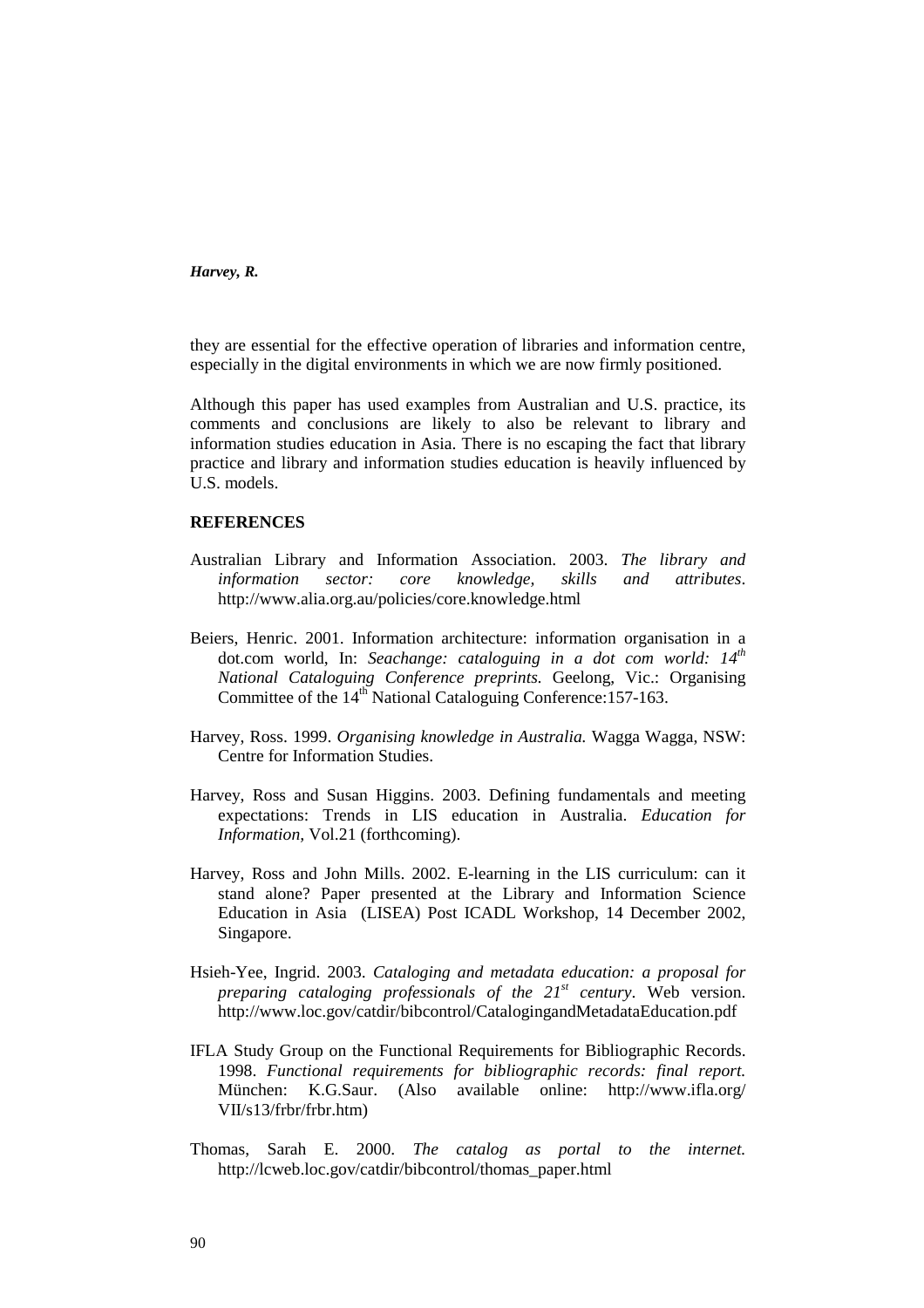they are essential for the effective operation of libraries and information centre, especially in the digital environments in which we are now firmly positioned.

Although this paper has used examples from Australian and U.S. practice, its comments and conclusions are likely to also be relevant to library and information studies education in Asia. There is no escaping the fact that library practice and library and information studies education is heavily influenced by U.S. models.

# **REFERENCES**

- Australian Library and Information Association. 2003. *The library and information sector: core knowledge, skills and attributes*. http://www.alia.org.au/policies/core.knowledge.html
- Beiers, Henric. 2001. Information architecture: information organisation in a dot.com world, In: *Seachange: cataloguing in a dot com world: 14th National Cataloguing Conference preprints.* Geelong, Vic.: Organising Committee of the 14<sup>th</sup> National Cataloguing Conference: 157-163.
- Harvey, Ross. 1999. *Organising knowledge in Australia.* Wagga Wagga, NSW: Centre for Information Studies.
- Harvey, Ross and Susan Higgins. 2003. Defining fundamentals and meeting expectations: Trends in LIS education in Australia. *Education for Information,* Vol.21 (forthcoming).
- Harvey, Ross and John Mills. 2002. E-learning in the LIS curriculum: can it stand alone? Paper presented at the Library and Information Science Education in Asia (LISEA) Post ICADL Workshop, 14 December 2002, Singapore.
- Hsieh-Yee, Ingrid. 2003. *Cataloging and metadata education: a proposal for preparing cataloging professionals of the 21st century*. Web version. http://www.loc.gov/catdir/bibcontrol/CatalogingandMetadataEducation.pdf
- IFLA Study Group on the Functional Requirements for Bibliographic Records. 1998. *Functional requirements for bibliographic records: final report.*  München: K.G.Saur. (Also available online: http://www.ifla.org/ VII/s13/frbr/frbr.htm)
- Thomas, Sarah E. 2000. *The catalog as portal to the internet.*  http://lcweb.loc.gov/catdir/bibcontrol/thomas\_paper.html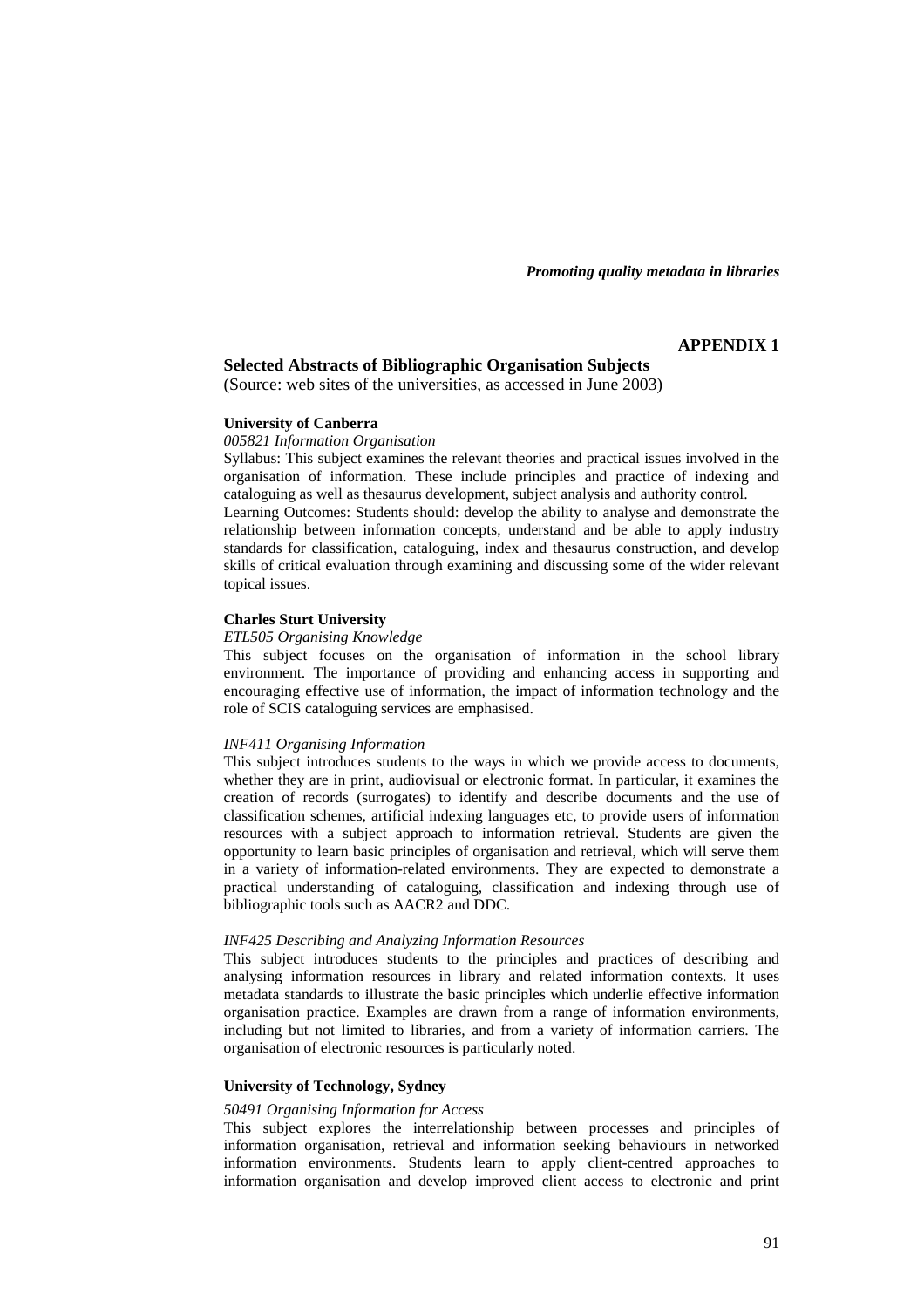#### **APPENDIX 1**

# **Selected Abstracts of Bibliographic Organisation Subjects**

(Source: web sites of the universities, as accessed in June 2003)

### **University of Canberra**

### *005821 Information Organisation*

Syllabus: This subject examines the relevant theories and practical issues involved in the organisation of information. These include principles and practice of indexing and cataloguing as well as thesaurus development, subject analysis and authority control. Learning Outcomes: Students should: develop the ability to analyse and demonstrate the relationship between information concepts, understand and be able to apply industry standards for classification, cataloguing, index and thesaurus construction, and develop skills of critical evaluation through examining and discussing some of the wider relevant

topical issues.

## **Charles Sturt University**

### *ETL505 Organising Knowledge*

This subject focuses on the organisation of information in the school library environment. The importance of providing and enhancing access in supporting and encouraging effective use of information, the impact of information technology and the role of SCIS cataloguing services are emphasised.

#### *INF411 Organising Information*

This subject introduces students to the ways in which we provide access to documents, whether they are in print, audiovisual or electronic format. In particular, it examines the creation of records (surrogates) to identify and describe documents and the use of classification schemes, artificial indexing languages etc, to provide users of information resources with a subject approach to information retrieval. Students are given the opportunity to learn basic principles of organisation and retrieval, which will serve them in a variety of information-related environments. They are expected to demonstrate a practical understanding of cataloguing, classification and indexing through use of bibliographic tools such as AACR2 and DDC.

#### *INF425 Describing and Analyzing Information Resources*

This subject introduces students to the principles and practices of describing and analysing information resources in library and related information contexts. It uses metadata standards to illustrate the basic principles which underlie effective information organisation practice. Examples are drawn from a range of information environments, including but not limited to libraries, and from a variety of information carriers. The organisation of electronic resources is particularly noted.

### **University of Technology, Sydney**

#### *50491 Organising Information for Access*

This subject explores the interrelationship between processes and principles of information organisation, retrieval and information seeking behaviours in networked information environments. Students learn to apply client-centred approaches to information organisation and develop improved client access to electronic and print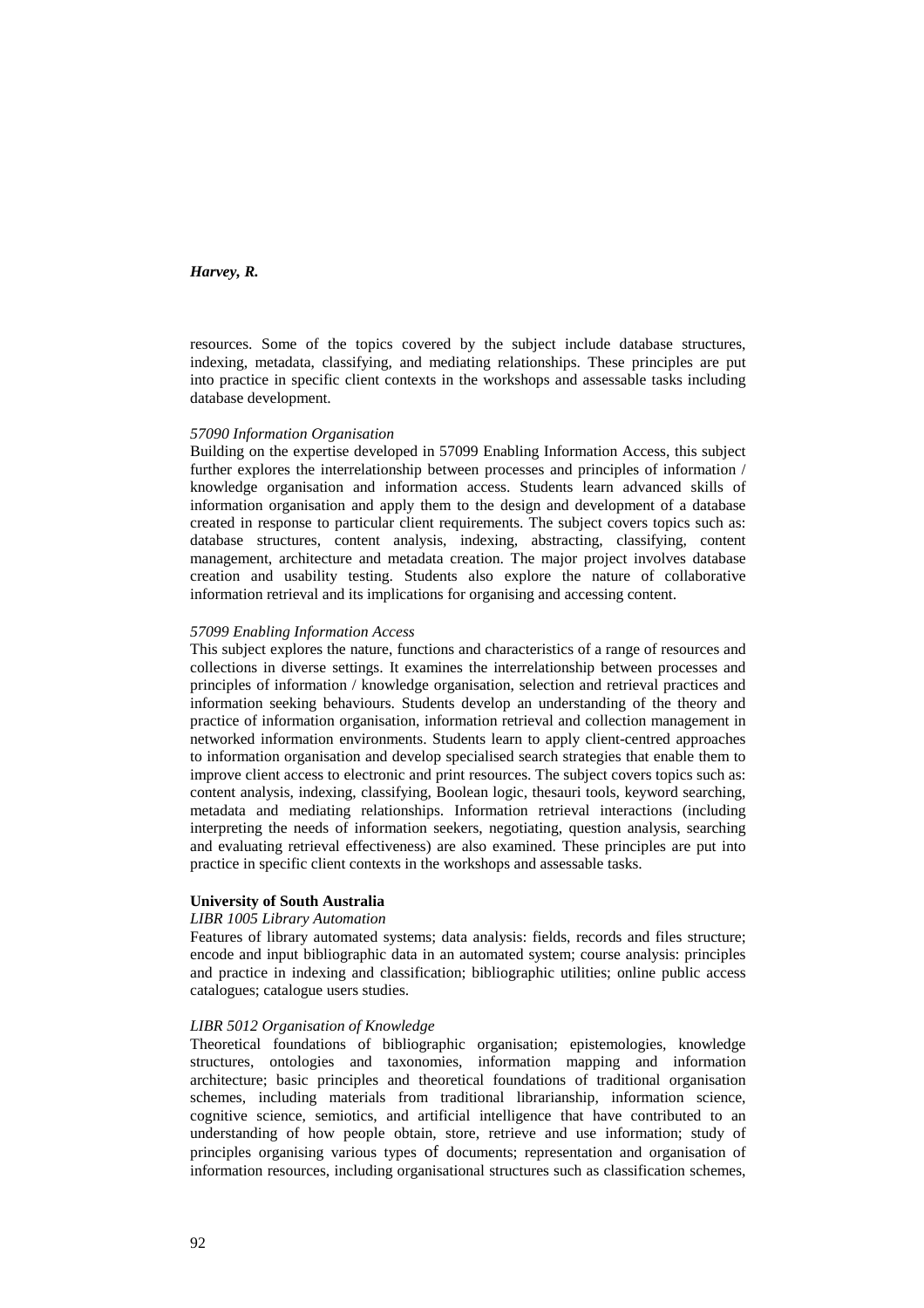resources. Some of the topics covered by the subject include database structures, indexing, metadata, classifying, and mediating relationships. These principles are put into practice in specific client contexts in the workshops and assessable tasks including database development.

### *57090 Information Organisation*

Building on the expertise developed in 57099 Enabling Information Access, this subject further explores the interrelationship between processes and principles of information / knowledge organisation and information access. Students learn advanced skills of information organisation and apply them to the design and development of a database created in response to particular client requirements. The subject covers topics such as: database structures, content analysis, indexing, abstracting, classifying, content management, architecture and metadata creation. The major project involves database creation and usability testing. Students also explore the nature of collaborative information retrieval and its implications for organising and accessing content.

#### *57099 Enabling Information Access*

This subject explores the nature, functions and characteristics of a range of resources and collections in diverse settings. It examines the interrelationship between processes and principles of information / knowledge organisation, selection and retrieval practices and information seeking behaviours. Students develop an understanding of the theory and practice of information organisation, information retrieval and collection management in networked information environments. Students learn to apply client-centred approaches to information organisation and develop specialised search strategies that enable them to improve client access to electronic and print resources. The subject covers topics such as: content analysis, indexing, classifying, Boolean logic, thesauri tools, keyword searching, metadata and mediating relationships. Information retrieval interactions (including interpreting the needs of information seekers, negotiating, question analysis, searching and evaluating retrieval effectiveness) are also examined. These principles are put into practice in specific client contexts in the workshops and assessable tasks.

#### **University of South Australia**

### *LIBR 1005 Library Automation*

Features of library automated systems; data analysis: fields, records and files structure; encode and input bibliographic data in an automated system; course analysis: principles and practice in indexing and classification; bibliographic utilities; online public access catalogues; catalogue users studies.

### *LIBR 5012 Organisation of Knowledge*

Theoretical foundations of bibliographic organisation; epistemologies, knowledge structures, ontologies and taxonomies, information mapping and information architecture; basic principles and theoretical foundations of traditional organisation schemes, including materials from traditional librarianship, information science, cognitive science, semiotics, and artificial intelligence that have contributed to an understanding of how people obtain, store, retrieve and use information; study of principles organising various types of documents; representation and organisation of information resources, including organisational structures such as classification schemes,